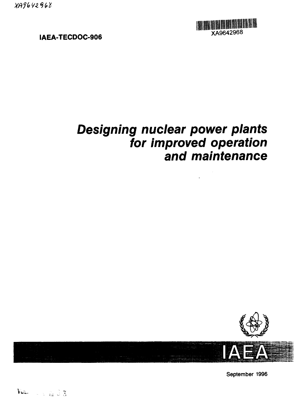XA9642968



**IAEA-TECDOC-906**

# **Designing nuclear power plants for improved operation and maintenance**



September 1996

 $V\omega$   $\sim$   $\omega$   $\approx$   $\approx$  3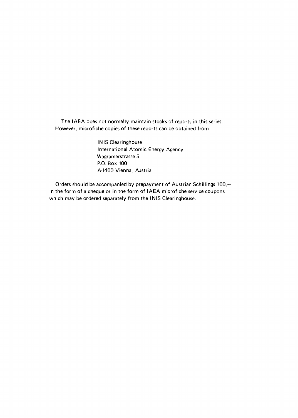The IAEA does not normally maintain stocks of reports in this series. However, microfiche copies of these reports can be obtained from

> INIS Clearinghouse International Atomic Energy Agency Wagramerstrasse 5 P.O. Box 100 A-1400 Vienna, Austria

Orders should be accompanied by prepayment of Austrian Schillings 100,in the form of a cheque or in the form of IAEA microfiche service coupons which may be ordered separately from the INIS Clearinghouse.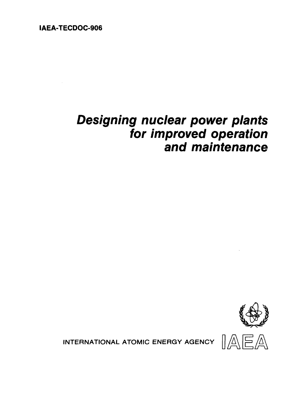**IAEA-TECDOC-906**

## **Designing nuclear power plants for improved operation and maintenance**



INTERNATIONAL ATOMIC ENERGY AGENCY

 $\mathbb{AEA}$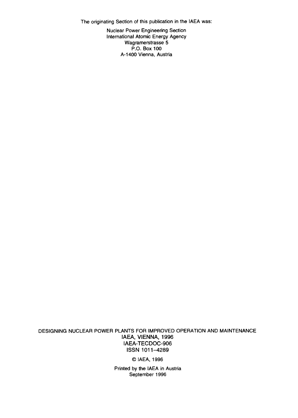The originating Section of this publication in the IAEA was:

Nuclear Power Engineering Section International Atomic Energy Agency Wagramerstrasse 5 P.O. Box 100 A-1400 Vienna, Austria

DESIGNING NUCLEAR POWER PLANTS FOR IMPROVED OPERATION AND MAINTENANCE **IAEA, VIENNA,** 1996 IAEA-TECDOC-906 ISSN 1011-4289

©IAEA, 1996

Printed by the IAEA in Austria September 1996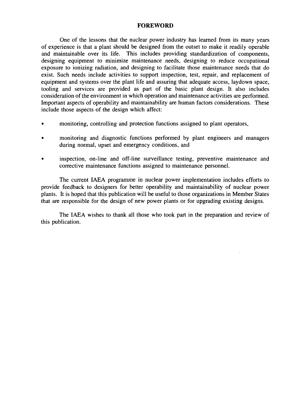#### FOREWORD

One of the lessons that the nuclear power industry has learned from its many years of experience is that a plant should be designed from the outset to make it readily operable and maintainable over its life. This includes providing standardization of components, designing equipment to minimize maintenance needs, designing to reduce occupational exposure to ionizing radiation, and designing to facilitate those maintenance needs that do exist. Such needs include activities to support inspection, test, repair, and replacement of equipment and systems over the plant life and assuring that adequate access, laydown space, tooling and services are provided as part of the basic plant design. It also includes consideration of the environment in which operation and maintenance activities are performed. Important aspects of operability and maintainability are human factors considerations. These include those aspects of the design which affect:

- monitoring, controlling and protection functions assigned to plant operators,
- monitoring and diagnostic functions performed by plant engineers and managers during normal, upset and emergency conditions, and
- inspection, on-line and off-line surveillance testing, preventive maintenance and corrective maintenance functions assigned to maintenance personnel.

The current IAEA programme in nuclear power implementation includes efforts to provide feedback to designers for better operability and maintainability of nuclear power plants. It is hoped that this publication will be useful to those organizations in Member States that are responsible for the design of new power plants or for upgrading existing designs.

The IAEA wishes to thank all those who took part in the preparation and review of this publication.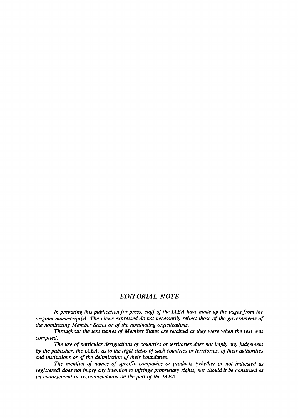## *EDITORIAL NOTE*

*In preparing this publication for press, staff of the IAEA have made up the pages from the original manuscript (s). The views expressed do not necessarily reflect those of the governments of the nominating Member States or of the nominating organizations.*

*Throughout the text names of Member States are retained as they were when the text was compiled.*

*The use of particular designations of countries or territories does not imply any judgement by the publisher, the IAEA, as to the legal status of such countries or territories, of their authorities and institutions or of the delimitation of their boundaries.*

*The mention of names of specific companies or products (whether or not indicated as registered) does not imply any intention to infringe proprietary rights, nor should it be construed as an endorsement or recommendation on the part of the IAEA.*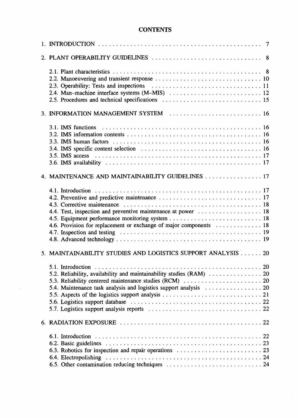## **CONTENTS**

| 3. INFORMATION MANAGEMENT SYSTEM  16                                                                                                                                                                 |  |
|------------------------------------------------------------------------------------------------------------------------------------------------------------------------------------------------------|--|
|                                                                                                                                                                                                      |  |
| 4. MAINTENANCE AND MAINTAINABILITY GUIDELINES 17                                                                                                                                                     |  |
| 4.4. Test, inspection and preventive maintenance at power  18<br>4.6. Provision for replacement or exchange of major components  18                                                                  |  |
| 5. MAINTAINABILITY STUDIES AND LOGISTICS SUPPORT ANALYSIS  20                                                                                                                                        |  |
| 5.2. Reliability, availability and maintainability studies (RAM)  20<br>5.3. Reliability centered maintenance studies (RCM)  20<br>5.4. Maintenance task analysis and logistics support analysis  20 |  |
|                                                                                                                                                                                                      |  |
|                                                                                                                                                                                                      |  |
|                                                                                                                                                                                                      |  |

 $\sim$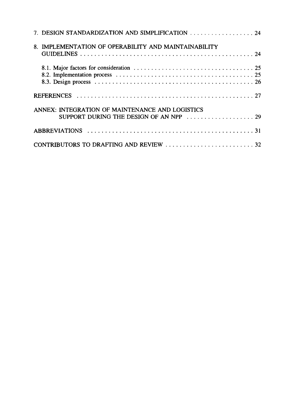| 7. DESIGN STANDARDIZATION AND SIMPLIFICATION  24     |  |
|------------------------------------------------------|--|
| 8. IMPLEMENTATION OF OPERABILITY AND MAINTAINABILITY |  |
|                                                      |  |
|                                                      |  |
| ANNEX: INTEGRATION OF MAINTENANCE AND LOGISTICS      |  |
|                                                      |  |
|                                                      |  |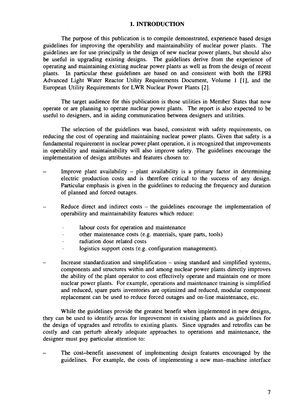#### **1. INTRODUCTION**

The purpose of this publication is to compile demonstrated, experience based design guidelines for improving the operability and maintainability of nuclear power plants. The guidelines are for use principally in the design of new nuclear power plants, but should also be useful in upgrading existing designs. The guidelines derive from the experience of operating and maintaining existing nuclear power plants as well as from the design of recent plants. In particular these guidelines are based on and consistent with both the EPRI Advanced Light Water Reactor Utility Requirements Document, Volume 1 [1], and the European Utility Requirements for LWR Nuclear Power Plants [2].

The target audience for this publication is those utilities in Member States that now operate or are planning to operate nuclear power plants. The report is also expected to be useful to designers, and in aiding communication between designers and utilities.

The selection of the guidelines was based, consistent with safety requirements, on reducing the cost of operating and maintaining nuclear power plants. Given that safety is a fundamental requirement in nuclear power plant operation, it is recognized that improvements in operability and maintainability will also improve safety. The guidelines encourage the implementation of design attributes and features chosen to:

- Improve plant availability  $-$  plant availability is a primary factor in determining electric production costs and is therefore critical to the success of any design. Particular emphasis is given in the guidelines to reducing the frequency and duration of planned and forced outages.
- Reduce direct and indirect costs  $-$  the guidelines encourage the implementation of operability and maintainability features which reduce:
	- labour costs for operation and maintenance .
	- other maintenance costs (e.g. materials, spare parts, tools)
	- radiation dose related costs
	- logistics support costs (e.g. configuration management).
- Increase standardization and simplification using standard and simplified systems, components and structures within and among nuclear power plants directly improves the ability of the plant operator to cost effectively operate and maintain one or more nuclear power plants. For example, operations and maintenance training is simplified and reduced, spare parts inventories are optimized and reduced, modular component replacement can be used to reduce forced outages and on-line maintenance, etc.

While the guidelines provide the greatest benefit when implemented in new designs, they can be used to identify areas for improvement in existing plants and as guidelines for the design of upgrades and retrofits to existing plants. Since upgrades and retrofits can be costly and can perturb already adequate approaches to operations and maintenance, the designer must pay particular attention to:

The cost-benefit assessment of implementing design features encouraged by the guidelines. For example, the costs of implementing a new man-machine interface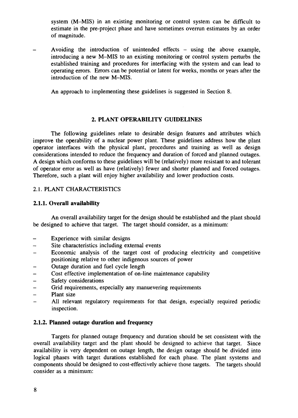system (M-MIS) in an existing monitoring or control system can be difficult to estimate in the pre-project phase and have sometimes overrun estimates by an order of magnitude.

Avoiding the introduction of unintended effects  $-$  using the above example, introducing a new M-MIS to an existing monitoring or control system perturbs the established training and procedures for interfacing with the system and can lead to operating errors. Errors can be potential or latent for weeks, months or years after the introduction of the new M-MIS.

An approach to implementing these guidelines is suggested in Section 8.

## **2. PLANT OPERABILITY GUIDELINES**

The following guidelines relate to desirable design features and attributes which improve the operability of a nuclear power plant. These guidelines address how the plant operator interfaces with the physical plant, procedures and training as well as design considerations intended to reduce the frequency and duration of forced and planned outages. A design which conforms to these guidelines will be (relatively) more resistant to and tolerant of operator error as well as have (relatively) fewer and shorter planned and forced outages. Therefore, such a plant will enjoy higher availability and lower production costs.

## 2.1. PLANT CHARACTERISTICS

## **2.1.1. Overall availability**

An overall availability target for the design should be established and the plant should be designed to achieve that target. The target should consider, as a minimum:

- Experience with similar designs
- Site characteristics including external events
- Economic analysis of the target cost of producing electricity and competitive positioning relative to other indigenous sources of power
- Outage duration and fuel cycle length
- Cost effective implementation of on-line maintenance capability
- Safety considerations
- Grid requirements, especially any manuevering requirements
- Plant size
- All relevant regulatory requirements for that design, especially required periodic inspection.

## **2.1.2. Planned outage duration and frequency**

Targets for planned outage frequency and duration should be set consistent with the overall availability target and the plant should be designed to achieve that target. Since availability is very dependent on outage length, the design outage should be divided into logical phases with target durations established for each phase. The plant systems and components should be designed to cost-effectively achieve those targets. The targets should consider as a minimum: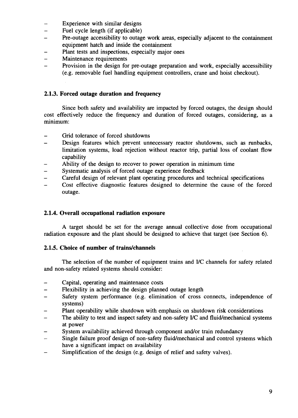- Experience with similar designs  $\overline{\phantom{0}}$
- $\qquad \qquad -$ Fuel cycle length (if applicable)
- Pre-outage accessibility to outage work areas, especially adjacent to the containment  $\overline{a}$ equipment hatch and inside the containment
- Plant tests and inspections, especially major ones  $\overline{\phantom{0}}$
- $\overline{a}$ Maintenance requirements
- Provision in the design for pre-outage preparation and work, especially accessibility  $\overline{\phantom{0}}$ (e.g. removable fuel handling equipment controllers, crane and hoist checkout).

## **2.1.3. Forced outage duration and frequency**

Since both safety and availability are impacted by forced outages, the design should cost effectively reduce the frequency and duration of forced outages, considering, as a minimum:

- $\equiv$ Grid tolerance of forced shutdowns
- Design features which prevent unnecessary reactor shutdowns, such as runbacks, limitation systems, load rejection without reactor trip, partial loss of coolant flow capability
- Ability of the design to recover to power operation in minimum time
- Systematic analysis of forced outage experience feedback
- Careful design of relevant plant operating procedures and technical specifications
- Cost effective diagnostic features designed to determine the cause of the forced  $\overline{\phantom{0}}$ outage.

#### **2.1.4. Overall occupational radiation exposure**

A target should be set for the average annual collective dose from occupational radiation exposure and the plant should be designed to achieve that target (see Section 6).

## **2.1.5. Choice of number of trains/channels**

The selection of the number of equipment trains and *VC* channels for safety related and non-safety related systems should consider:

- Capital, operating and maintenance costs
- Flexibility in achieving the design planned outage length
- Safety system performance (e.g. elimination of cross connects, independence of  $\equiv$ systems)
- Plant operability while shutdown with emphasis on shutdown risk considerations
- The ability to test and inspect safety and non-safety I/C and fluid/mechanical systems at power
- System availability achieved through component and/or train redundancy
- Single failure proof design of non-safety fluid/mechanical and control systems which have a significant impact on availability
- Simplification of the design (e.g. design of relief and safety valves).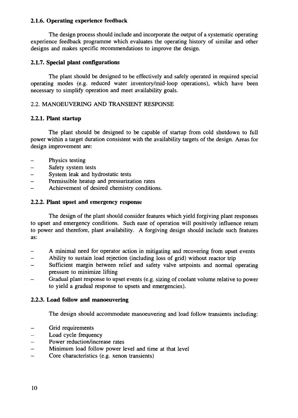### **2.1.6. Operating experience feedback**

The design process should include and incorporate the output of a systematic operating experience feedback programme which evaluates the operating history of similar and other designs and makes specific recommendations to improve the design.

## **2.1.7. Special plant configurations**

The plant should be designed to be effectively and safely operated in required special operating modes (e.g. reduced water inventory/mid-loop operations), which have been necessary to simplify operation and meet availability goals.

## 2.2. MANOEUVERING AND TRANSIENT RESPONSE

## **2.2.1. Plant startup**

The plant should be designed to be capable of startup from cold shutdown to full power within a target duration consistent with the availability targets of the design. Areas for design improvement are:

- Physics testing
- Safety system tests
- System leak and hydrostatic tests
- Permissible heatup and pressurization rates
- Achievement of desired chemistry conditions.

## 2.2.2. **Plant upset and emergency response**

The design of the plant should consider features which yield forgiving plant responses to upset and emergency conditions. Such ease of operation will positively influence return to power and therefore, plant availability. A forgiving design should include such features as:

- A minimal need for operator action in mitigating and recovering from upset events
- Ability to sustain load rejection (including loss of grid) without reactor trip
- Sufficient margin between relief and safety valve setpoints and normal operating pressure to minimize lifting
- Gradual plant response to upset events (e.g. sizing of coolant volume relative to power to yield a gradual response to upsets and emergencies).

## **2.2.3. Load follow and manoeuvering**

The design should accommodate manoeuvering and load follow transients including:

- Grid requirements
- Load cycle frequency<br>- Power reduction/incre
- Power reduction/increase rates
- Minimum load follow power level and time at that level  $-$  Core characteristics (e.g. xenon transients)
- Core characteristics (e.g. xenon transients)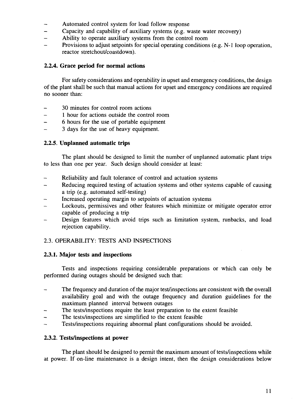- Automated control system for load follow response
- Capacity and capability of auxiliary systems (e.g. waste water recovery)
- Ability to operate auxiliary systems from the control room
- Provisions to adjust setpoints for special operating conditions (e.g. N-l loop operation, reactor stretchout/coastdown).

## **2.2.4. Grace period for normal actions**

For safety considerations and operability in upset and emergency conditions, the design of the plant shall be such that manual actions for upset and emergency conditions are required no sooner than:

- 30 minutes for control room actions
- 1 hour for actions outside the control room
- 6 hours for the use of portable equipment
- 3 days for the use of heavy equipment.  $\overline{\phantom{0}}$

#### **2.2.5. Unplanned automatic trips**

The plant should be designed to limit the number of unplanned automatic plant trips to less than one per year. Such design should consider at least:

- Reliability and fault tolerance of control and actuation systems
- Reducing required testing of actuation systems and other systems capable of causing a trip (e.g. automated self-testing)
- Increased operating margin to setpoints of actuation systems
- Lockouts, permissives and other features which minimize or mitigate operator error capable of producing a trip
- Design features which avoid trips such as limitation system, runbacks, and load rejection capability.

## 2.3. OPERABILITY: TESTS AND INSPECTIONS

#### **2.3.1. Major tests and inspections**

Tests and inspections requiring considerable preparations or which can only be performed during outages should be designed such that:

- $\ddot{\phantom{0}}$ The frequency and duration of the major test/inspections are consistent with the overall availability goal and with the outage frequency and duration guidelines for the maximum planned interval between outages
- The tests/inspections require the least preparation to the extent feasible
- The tests/inspections are simplified to the extent feasible
- Tests/inspections requiring abnormal plant configurations should be avoided.

#### **2.3.2. Tests/inspections at power**

The plant should be designed to permit the maximum amount of tests/inspections while at power. If on-line maintenance is a design intent, then the design considerations below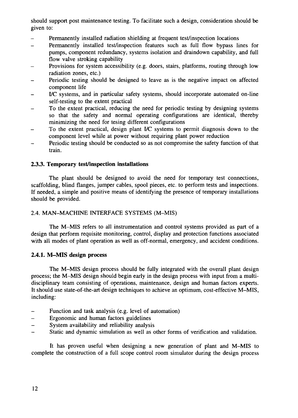should support post maintenance testing. To facilitate such a design, consideration should be given to:

- Permanently installed radiation shielding at frequent test/inspection locations
- Permanently installed test/inspection features such as full flow bypass lines for  $\overline{a}$ pumps, component redundancy, systems isolation and draindown capability, and full flow valve stroking capability
- Provisions for system accessibility (e.g. doors, stairs, platforms, routing through low radiation zones, etc.)
- Periodic testing should be designed to leave as is the negative impact on affected component life
- I/C systems, and in particular safety systems, should incorporate automated on-line self-testing to the extent practical
- To the extent practical, reducing the need for periodic testing by designing systems so that the safety and normal operating configurations are identical, thereby minimizing the need for tesing different configurations
- To the extent practical, design plant I/C systems to permit diagnosis down to the component level while at power without requiring plant power reduction
- Periodic testing should be conducted so as not compromise the safety function of that train.

## **2.3.3. Temporary test/inspection installations**

The plant should be designed to avoid the need for temporary test connections, scaffolding, blind flanges, jumper cables, spool pieces, etc. to perform tests and inspections. If needed, a simple and positive means of identifying the presence of temporary installations should be provided.

#### 2.4. MAN-MACHINE INTERFACE SYSTEMS (M-MIS)

The M-MIS refers to all instrumentation and control systems provided as part of a design that perform requisite monitoring, control, display and protection functions associated with all modes of plant operation as well as off-normal, emergency, and accident conditions.

#### **2.4.1. M-MIS design process**

The M-MIS design process should be fully integrated with the overall plant design process; the M-MIS design should begin early in the design process with input from a multidisciplinary team consisting of operations, maintenance, design and human factors experts. It should use state-of-the-art design techniques to achieve an optimum, cost-effective M-MIS, including:

- Function and task analysis (e.g. level of automation)
- Ergonomic and human factors guidelines L,
- System availability and reliability analysis
- Static and dynamic simulation as well as other forms of verification and validation.

It has proven useful when designing a new generation of plant and M-MIS to complete the construction of a full scope control room simulator during the design process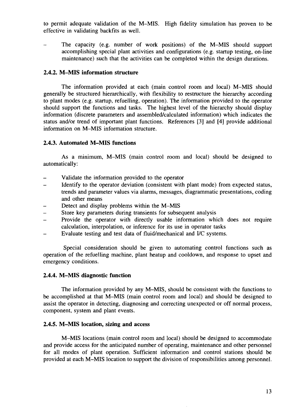to permit adequate validation of the M-MIS. High fidelity simulation has proven to be effective in validating backfits as well.

The capacity (e.g. number of work positions) of the M-MIS should support accomplishing special plant activities and configurations (e.g. startup testing, on-line maintenance) such that the activities can be completed within the design durations.

#### **2.4.2. M-MIS information structure**

The information provided at each (main control room and local) M-MIS should generally be structured hierarchically, with flexibility to restructure the hierarchy according to plant modes (e.g. startup, refuelling, operation). The information provided to the operator should support the functions and tasks. The highest level of the hierarchy should display information (discrete parameters and assembled/calculated information) which indicates the status and/or trend of important plant functions. References [3] and [4] provide additional information on M-MIS information structure.

#### **2.4.3. Automated M-MIS functions**

As a minimum, M-MIS (main control room and local) should be designed to automatically:

- Validate the information provided to the operator
- Identify to the operator deviation (consistent with plant mode) from expected status, trends and parameter values via alarms, messages, diagrammatic presentations, coding and other means
- Detect and display problems within the M-MIS
- Store key parameters during transients for subsequent analysis
- Provide the operator with directly usable information which does not require calculation, interpolation, or inference for its use in operator tasks
- Evaluate testing and test data of fluid/mechanical and I/C systems.

Special consideration should be given to automating control functions such as operation of the refuelling machine, plant heatup and cooldown, and response to upset and emergency conditions.

#### **2.4.4. M-MIS diagnostic function**

The information provided by any M-MIS, should be consistent with the functions to be accomplished at that M-MIS (main control room and local) and should be designed to assist the operator in detecting, diagnosing and correcting unexpected or off normal process, component, system and plant events.

#### **2.4.5. M-MIS location, sizing and access**

M-MIS locations (main control room and local) should be designed to accommodate and provide access for the anticipated number of operating, maintenance and other personnel for all modes of plant operation. Sufficient information and control stations should be provided at each M-MIS location to support the division of responsibilities among personnel.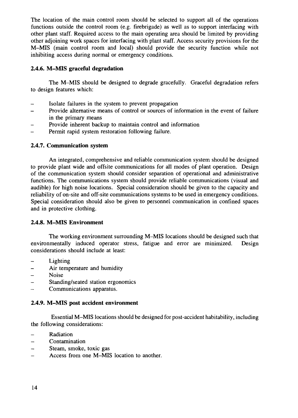The location of the main control room should be selected to support all of the operations functions outside the control room (e.g. firebrigade) as well as to support interfacing with other plant staff. Required access to the main operating area should be limited by providing other adjoining work spaces for interfacing with plant staff. Access security provisions for the M-MIS (main control room and local) should provide the security function while not inhibiting access during normal or emergency conditions.

## **2.4.6. M-MIS graceful degradation**

The M-MIS should be designed to degrade gracefully. Graceful degradation refers to design features which:

- Isolate failures in the system to prevent propagation
- Provide alternative means of control or sources of information in the event of failure in the primary means
- Provide inherent backup to maintain control and information
- Permit rapid system restoration following failure.

## **2.4.7. Communication system**

An integrated, comprehensive and reliable communication system should be designed to provide plant wide and offsite communications for all modes of plant operation. Design of the communication system should consider separation of operational and administrative functions. The communications system should provide reliable communications (visual and audible) for high noise locations. Special consideration should be given to the capacity and reliability of on-site and off-site communications systems to be used in emergency conditions. Special consideration should also be given to personnel communication in confined spaces and in protective clothing.

## **2.4.8.** M-MIS **Environment**

The working environment surrounding M-MIS locations should be designed such that environmentally induced operator stress, fatigue and error are minimized. Design considerations should include at least:

- $\overline{a}$ Lighting
- Air temperature and humidity
- Noise
- Standing/seated station ergonomics
- Communications apparatus.

## **2.4.9. M-MIS post accident environment**

Essential M-MIS locations should be designed for post-accident habitability, including the following considerations:

- **Radiation**
- Contamination
- Steam, smoke, toxic gas
- Access from one M-MIS location to another.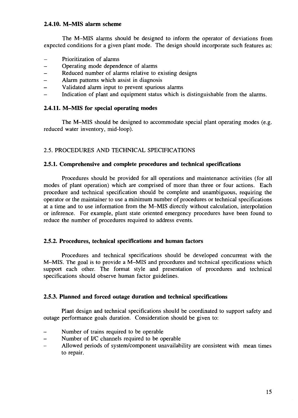## **2.4.10. M-MIS alarm scheme**

The M-MIS alarms should be designed to inform the operator of deviations from expected conditions for a given plant mode. The design should incorporate such features as:

- Prioritization of alarms
- Operating mode dependence of alarms
- Reduced number of alarms relative to existing designs
- Alarm patterns which assist in diagnosis
- Validated alarm input to prevent spurious alarms
- Indication of plant and equipment status which is distinguishable from the alarms.

## **2.4.11. M-MIS for special operating modes**

The M-MIS should be designed to accommodate special plant operating modes (e.g. reduced water inventory, mid-loop).

## 2.5. PROCEDURES AND TECHNICAL SPECIFICATIONS

#### **2.5.1. Comprehensive and complete procedures and technical specifications**

Procedures should be provided for all operations and maintenance activities (for all modes of plant operation) which are comprised of more than three or four actions. Each procedure and technical specification should be complete and unambiguous, requiring the operator or the maintainer to use a minimum number of procedures or technical specifications at a time and to use information from the M-MIS directly without calculation, interpolation or inference. For example, plant state oriented emergency procedures have been found to reduce the number of procedures required to address events.

#### **2.5.2. Procedures, technical specifications and human factors**

Procedures and technical specifications should be developed concurrent with the M-MIS. The goal is to provide a M—MIS and procedures and technical specifications which support each other. The format style and presentation of procedures and technical specifications should observe human factor guidelines.

#### **2.5.3. Planned and forced outage duration and technical specifications**

Plant design and technical specifications should be coordinated to support safety and outage performance goals duration. Consideration should be given to:

- Number of trains required to be operable
- Number of I/C channels required to be operable
- Allowed periods of system/component unavailability are consistent with mean times to repair.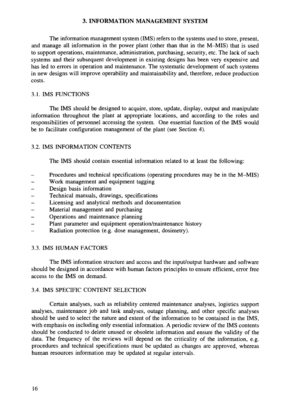## **3. INFORMATION MANAGEMENT SYSTEM**

The information management system (IMS) refers to the systems used to store, present, and manage all information in the power plant (other than that in the M-MIS) that is used to support operations, maintenance, administration, purchasing, security, etc. The lack of such systems and their subsequent development in existing designs has been very expensive and has led to errors in operation and maintenance. The systematic development of such systems in new designs will improve operability and maintainability and, therefore, reduce production costs.

## 3.1. IMS FUNCTIONS

The IMS should be designed to acquire, store, update, display, output and manipulate information throughout the plant at appropriate locations, and according to the roles and responsibilities of personnel accessing the system. One essential function of the IMS would be to facilitate configuration management of the plant (see Section 4).

## 3.2. IMS INFORMATION CONTENTS

The IMS should contain essential information related to at least the following:

- Procedures and technical specifications (operating procedures may be in the M-MIS)
- Work management and equipment tagging
- Design basis information
- Technical manuals, drawings, specifications
- Licensing and analytical methods and documentation
- Material management and purchasing
- Operations and maintenance planning
- Plant parameter and equipment operation/maintenance history
- Radiation protection (e.g. dose management, dosimetry).

## 3.3. IMS HUMAN FACTORS

The IMS information structure and access and the input/output hardware and software should be designed in accordance with human factors principles to ensure efficient, error free access to the IMS on demand.

## 3.4. IMS SPECIFIC CONTENT SELECTION

Certain analyses, such as reliability centered maintenance analyses, logistics support analyses, maintenance job and task analyses, outage planning, and other specific analyses should be used to select the nature and extent of the information to be contained in the IMS, with emphasis on including only essential information. A periodic review of the IMS contents should be conducted to delete unused or obsolete information and ensure the validity of the data. The frequency of the reviews will depend on the criticality of the information, e.g. procedures and technical specifications must be updated as changes are approved, whereas human resources information may be updated at regular intervals.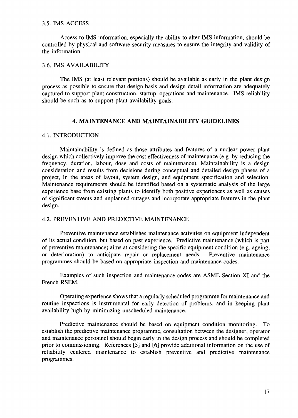#### 3.5. IMS ACCESS

Access to IMS information, especially the ability to alter IMS information, should be controlled by physical and software security measures to ensure the integrity and validity of the information.

#### 3.6. IMS AVAILABILITY

The IMS (at least relevant portions) should be available as early in the plant design process as possible to ensure that design basis and design detail information are adequately captured to support plant construction, startup, operations and maintenance. IMS reliability should be such as to support plant availability goals.

## **4. MAINTENANCE AND MAINTAINABILITY GUIDELINES**

#### 4.1. INTRODUCTION

Maintainability is defined as those attributes and features of a nuclear power plant design which collectively improve the cost effectiveness of maintenance (e.g. by reducing the frequency, duration, labour, dose and costs of maintenance). Maintainability is a design consideration and results from decisions during conceptual and detailed design phases of a project, in the areas of layout, system design, and equipment specification and selection. Maintenance requirements should be identified based on a systematic analysis of the large experience base from existing plants to identify both positive experiences as well as causes of significant events and unplanned outages and incorporate appropriate features in the plant design.

#### 4.2. PREVENTIVE AND PREDICTIVE MAINTENANCE

Preventive maintenance establishes maintenance activities on equipment independent of its actual condition, but based on past experience. Predictive maintenance (which is part of preventive maintenance) aims at considering the specific equipment condition (e.g. ageing, or deterioration) to anticipate repair or replacement needs. Preventive maintenance programmes should be based on appropriate inspection and maintenance codes.

Examples of such inspection and maintenance codes are ASME Section XI and the French RSEM.

Operating experience shows that a regularly scheduled programme for maintenance and routine inspections is instrumental for early detection of problems, and in keeping plant availability high by minimizing unscheduled maintenance.

Predictive maintenance should be based on equipment condition monitoring. To establish the predictive maintenance programme, consultation between the designer, operator and maintenance personnel should begin early in the design process and should be completed prior to commissioning. References [5] and [6] provide additional information on the use of reliability centered maintenance to establish preventive and predictive maintenance programmes.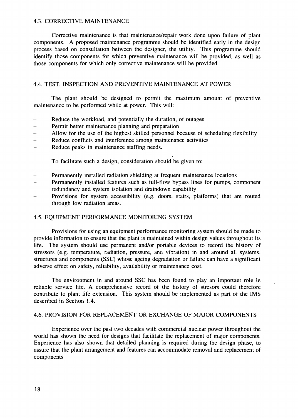#### 4.3. CORRECTIVE MAINTENANCE

Corrective maintenance is that maintenance/repair work done upon failure of plant components. A proposed maintenance programme should be identified early in the design process based on consultation between the designer, the utility. This programme should identify those components for which preventive maintenance will be provided, as well as those components for which only corrective maintenance will be provided.

## 4.4. TEST, INSPECTION AND PREVENTIVE MAINTENANCE AT POWER

The plant should be designed to permit the maximum amount of preventive maintenance to be performed while at power. This will:

- Reduce the workload, and potentially the duration, of outages
- Permit better maintenance planning and preparation
- Allow for the use of the highest skilled personnel because of scheduling flexibility
- Reduce conflicts and interference among maintenance activities
- Reduce peaks in maintenance staffing needs.

To facilitate such a design, consideration should be given to:

- Permanently installed radiation shielding at frequent maintenance locations
- Permanently installed features such as full-flow bypass lines for pumps, component redundancy and system isolation and draindown capability
- Provisions for system accessibility (e.g. doors, stairs, platforms) that are routed through low radiation areas.

#### 4.5. EQUIPMENT PERFORMANCE MONITORING SYSTEM

Provisions for using an equipment performance monitoring system should be made to provide information to ensure that the plant is maintained within design values throughout its life. The system should use permanent and/or portable devices to record the history of stressors (e.g. temperature, radiation, pressure, and vibration) in and around all systems, structures and components (SSC) whose ageing degradation or failure can have a significant adverse effect on safety, reliability, availability or maintenance cost.

The environment in and around SSC has been found to play an important role in reliable service life. A comprehensive record of the history of stresors could therefore contribute to plant life extension. This system should be implemented as part of the IMS described in Section 1.4.

#### 4.6. PROVISION FOR REPLACEMENT OR EXCHANGE OF MAJOR COMPONENTS

Experience over the past two decades with commercial nuclear power throughout the world has shown the need for designs that facilitate the replacement of major components. Experience has also shown that detailed planning is required during the design phase, to assure that the plant arrangement and features can accommodate removal and replacement of components.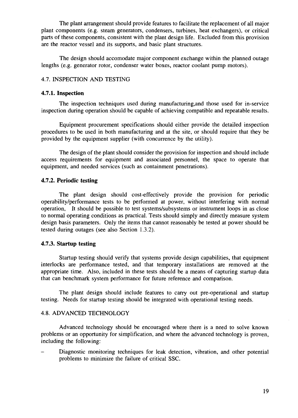The plant arrangement should provide features to facilitate the replacement of all major plant components (e.g. steam generators, condensers, turbines, heat exchangers), or critical parts of these components, consistent with the plant design life. Excluded from this provision are the reactor vessel and its supports, and basic plant structures.

The design should accomodate major component exchange within the planned outage lengths (e.g. generator rotor, condenser water boxes, reactor coolant pump motors).

## 4.7. INSPECTION AND TESTING

#### **4.7.1. Inspection**

The inspection techniques used during manufacturing.and those used for in-service inspection during operation should be capable of achieving compatible and repeatable results.

Equipment procurement specifications should either provide the detailed inspection procedures to be used in both manufacturing and at the site, or should require that they be provided by the equipment supplier (with concurrence by the utility).

The design of the plant should consider the provision for inspection and should include access requirements for equipment and associated personnel, the space to operate that equipment, and needed services (such as containment penetrations).

#### **4.7.2. Periodic testing**

The plant design should cost-effectively provide the provision for periodic operability/performance tests to be performed at power, without interfering with normal operation, It should be possible to test systems/subsystems or instrument loops in as close to normal operating conditions as practical. Tests should simply and directly measure system design basis parameters. Only the items that cannot reasonably be tested at power should be tested during outages (see also Section 1.3.2).

#### **4.7.3. Startup testing**

Startup testing should verify that systems provide design capabilities, that equipment interlocks are performance tested, and that temporary installations are removed at the appropriate time. Also, included in these tests should be a means of capturing startup data that can benchmark system performance for future reference and comparison.

The plant design should include features to carry out pre-operational and startup testing. Needs for startup testing should be integrated with operational testing needs.

#### 4.8. ADVANCED TECHNOLOGY

Advanced technology should be encouraged where there is a need to solve known problems or an opportunity for simplification, and where the advanced technology is proven, including the following:

Diagnostic monitoring techniques for leak detection, vibration, and other potential problems to minimize the failure of critical SSC.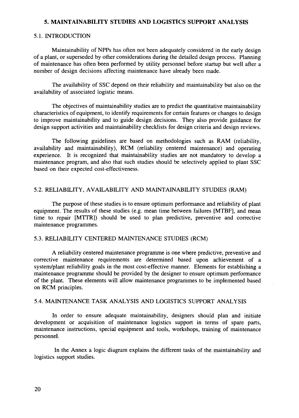## **5. MAINTAINABILITY STUDIES AND LOGISTICS SUPPORT ANALYSIS**

#### 5.1. INTRODUCTION

Maintainability of NPPs has often not been adequately considered in the early design of a plant, or superseded by other considerations during the detailed design process. Planning of maintenance has often been performed by utility personnel before startup but well after a number of design decisions affecting maintenance have already been made.

The availability of SSC depend on their reliability and maintainability but also on the availability of associated logistic means.

The objectives of maintainability studies are to predict the quantitative maintainability characteristics of equipment, to identify requirements for certain features or changes to design to improve maintainability and to guide design decisions. They also provide guidance for design support activities and maintainability checklists for design criteria and design reviews.

The following guidelines are based on methodologies such as RAM (reliability, availability and maintainability), RCM (reliability centered maintenance) and operating experience. It is recognized that maintainability studies are not mandatory to develop a maintenance program, and also that such studies should be selectively applied to plant SSC based on their expected cost-effectiveness.

#### 5.2. RELIABILITY, AVAILABILITY AND MAINTAINABILITY STUDIES (RAM)

The purpose of these studies is to ensure optimum performance and reliability of plant equipment. The results of these studies (e.g. mean time between failures [MTBF], and mean time to repair [MTTR]) should be used to plan predictive, preventive and corrective maintenance programmes.

#### 5.3. RELIABILITY CENTERED MAINTENANCE STUDIES (RCM)

A reliability centered maintenance programme is one where predictive, preventive and corrective maintenance requirements are determined based upon achievement of a system/plant reliability goals in the most cost-effective manner. Elements for establishing a maintenance programme should be provided by the designer to ensure optimum performance of the plant. These elements will allow maintenance programmes to be implemented based on RCM principles.

#### 5.4. MAINTENANCE TASK ANALYSIS AND LOGISTICS SUPPORT ANALYSIS

In order to ensure adequate maintainability, designers should plan and initiate development or acquisition of maintenance logistics support in terms of spare parts, maintenance instructions, special equipment and tools, workshops, training of maintenance personnel.

In the Annex a logic diagram explains the different tasks of the maintainability and logistics support studies.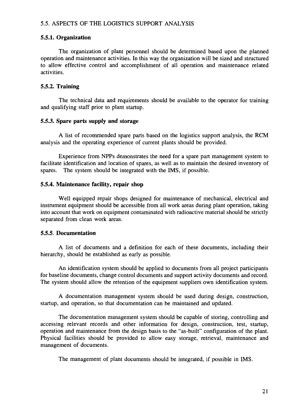#### **5.5.1. Organization**

The organization of plant personnel should be determined based upon the planned operation and maintenance activities. In this way the organization will be sized and structured to allow effective control and accomplishment of all operation and maintenance related activities.

## **5.5.2. Training**

The technical data and requirements should be available to the operator for training and qualifying staff prior to plant startup.

#### **5.5.3. Spare parts supply and storage**

A list of recommended spare parts based on the logistics support analysis, the RCM analysis and the operating experience of current plants should be provided.

Experience from NPPs demonstrates the need for a spare part management system to facilitate identification and location of spares, as well as to maintain the desired inventory of spares. The system should be integrated with the IMS, if possible.

#### **5.5.4. Maintenance facility, repair shop**

Well equipped repair shops designed for maintenance of mechanical, electrical and instrument equipment should be accessible from all work areas during plant operation, taking into account that work on equipment contaminated with radioactive material should be strictly separated from clean work areas.

#### **5.5.5. Documentation**

A list of documents and a definition for each of these documents, including their hierarchy, should be established as early as possible.

An identification system should be applied to documents from all project participants for baseline documents, change control documents and support activity documents and record. The system should allow the retention of the equipment suppliers own identification system.

A documentation management system should be used during design, construction, startup, and operation, so that documentation can be maintained and updated.

The documentation management system should be capable of storing, controlling and accessing relevant records and other information for design, construction, test, startup, operation and maintenance from the design basis to the "as-built" configuration of the plant. Physical facilities should be provided to allow easy storage, retrieval, maintenance and management of documents.

The management of plant documents should be integrated, if possible in IMS.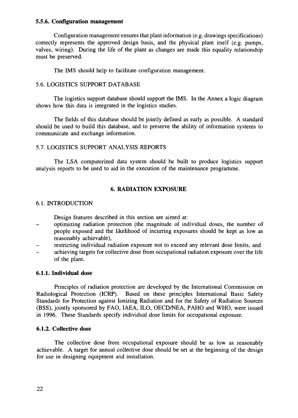#### **5.5.6. Configuration management**

Configuration management ensures that plant information (e.g. drawings specifications) correctly represents the approved design basis, and the physical plant itself (e.g. pumps, valves, wiring). During the life of the plant as changes are made this equality relationship must be preserved.

The IMS should help to facilitate configuration management.

#### 5.6. LOGISTICS SUPPORT DATABASE

The logistics support database should support the IMS. In the Annex a logic diagram shows how this data is integrated in the logistics studies.

The fields of this database should be jointly defined as early as possible. A standard should be used to build this database, and to preserve the ability of information systems to communicate and exchange information.

#### 5.7. LOGISTICS SUPPORT ANALYSIS REPORTS

The LSA computerized data system should be built to produce logistics support analysis reports to be used to aid in the execution of the maintenance programme.

#### **6. RADIATION EXPOSURE**

#### 6.1. INTRODUCTION

Design features described in this section are aimed at:

- optimizing radiation protection (the magnitude of individual doses, the number of people exposed and the likelihood of incurring exposures should be kept as low as reasonably achievable),
- restricting individual radiation exposure not to exceed any relevant dose limits, and - achieving targets for collective dose from occupational radiation exposure over the life of the plant.

#### **6.1.1. Individual dose**

Principles of radiation protection are developed by the International Commission on Radiological Protection (ICRP). Based on these principles International Basic Safety Standards for Protection against Ionizing Radiation and for the Safety of Radiation Sources (BSS), jointly sponsored by FAO, IAEA, ILO, OECD/NEA, PAHO and WHO, were issued in 1996. These Standards specify individual dose limits for occupational exposure.

#### **6.1.2. Collective dose**

The collective dose from occupational exposure should be as low as reasonably achievable. A target for annual collective dose should be set at the beginning of the design for use in designing equipment and installation.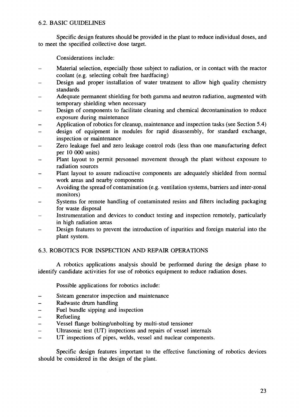## 6.2. BASIC GUIDELINES

Specific design features should be provided in the plant to reduce individual doses, and to meet the specified collective dose target.

Considerations include:

- Material selection, especially those subject to radiation, or in contact with the reactor coolant (e.g. selecting cobalt free hardfacing)
- Design and proper installation of water treatment to allow high quality chemistry standards
- Adequate permanent shielding for both gamma and neutron radiation, augmented with temporary shielding when necessary
- Design of components to facilitate cleaning and chemical decontamination to reduce exposure during maintenance
- Application of robotics for cleanup, maintenance and inspection tasks (see Section 5.4)
- design of equipment in modules for rapid disassembly, for standard exchange, inspection or maintenance
- Zero leakage fuel and zero leakage control rods (less than one manufacturing defect per 10 000 units)
- Plant layout to permit personnel movement through the plant without exposure to radiation sources
- Plant layout to assure radioactive components are adequately shielded from normal work areas and nearby components
- Avoiding the spread of contamination (e.g. ventilation systems, barriers and inter-zonal monitors)
- Systems for remote handling of contaminated resins and filters including packaging for waste disposal
- Instrumentation and devices to conduct testing and inspection remotely, particularly in high radiation areas
- Design features to prevent the introduction of inpurities and foreign material into the plant system.

## 6.3. ROBOTICS FOR INSPECTION AND REPAIR OPERATIONS

A robotics applications analysis should be performed during the design phase to identify candidate activities for use of robotics equipment to reduce radiation doses.

Possible applications for robotics include:

- Ssteam generator inspection and maintenance
- Radwaste drum handling
- Fuel bundle sipping and inspection
- **Refueling**
- Vessel flange bolting/unbolting by multi-stud tensioner
- Ultrasonic test (UT) inspections and repairs of vessel internals
- UT inspections of pipes, welds, vessel and nuclear components.

Specific design features important to the effective functioning of robotics devices should be considered in the design of the plant.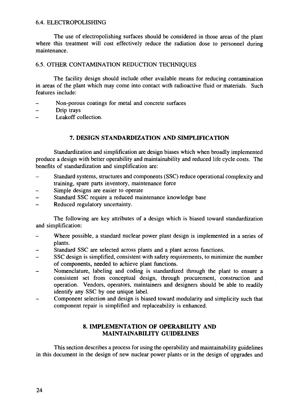### 6.4. ELECTROPOLISHING

The use of electropolishing surfaces should be considered in those areas of the plant where this treatment will cost effectively reduce the radiation dose to personnel during maintenance.

## 6.5. OTHER CONTAMINATION REDUCTION TECHNIQUES

The facility design should include other available means for reducing contamination in areas of the plant which may come into contact with radioactive fluid or materials. Such features include:

- Non-porous coatings for metal and concrete surfaces
- Drip trays  $\overline{a}$
- Leakoff collection.

## **7. DESIGN STANDARDIZATION AND SIMPLIFICATION**

Standardization and simplification are design biases which when broadly implemented produce a design with better operability and maintainability and reduced life cycle costs. The benefits of standardization and simplification are:

- Standard systems, structures and components (SSC) reduce operational complexity and training, spare parts inventory, maintenance force
- Simple designs are easier to operate
- Standard SSC require a reduced maintenance knowledge base
- Reduced regulatory uncertainty.

The following are key attributes of a design which is biased toward standardization and simplification:

- Where possible, a standard nuclear power plant design is implemented in a series of plants.
- Standard SSC are selected across plants and a plant across functions.
- SSC design is simplified, consistent with safety requirements, to minimize the number of components, needed to achieve plant functions.
- Nomenclature, labeling and coding is standardized through the plant to ensure a consistent set from conceptual design, through procurement, construction and operation. Vendors, operators, maintainers and designers should be able to readily identify any SSC by one unique label.
- Component selection and design is biased toward modularity and simplicity such that component repair is simplified and replaceability is enhanced.

## **8. IMPLEMENTATION OF OPERABILITY AND MAINTAINABILITY GUIDELINES**

This section describes a process for using the operability and maintainability guidelines in this document in the design of new nuclear power plants or in the design of upgrades and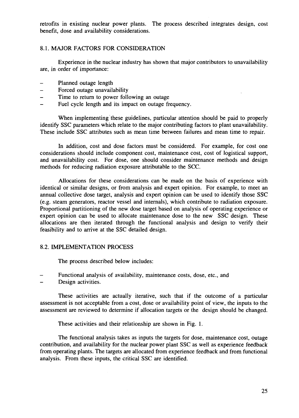retrofits in existing nuclear power plants. The process described integrates design, cost benefit, dose and availability considerations.

#### 8.1. MAJOR FACTORS FOR CONSIDERATION

Experience in the nuclear industry has shown that major contributors to unavailability are, in order of importance:

- Planned outage length
- Forced outage unavailability
- Time to return to power following an outage  $\equiv$
- Fuel cycle length and its impact on outage frequency.

When implementing these guidelines, particular attention should be paid to properly identify SSC parameters which relate to the major contributing factors to plant unavailability. These include SSC attributes such as mean time between failures and mean time to repair.

In addition, cost and dose factors must be considered. For example, for cost one considerations should include component cost, maintenance cost, cost of logistical support, and unavailability cost. For dose, one should consider maintenance methods and design methods for reducing radiation exposure attributable to the SCC.

Allocations for these considerations can be made on the basis of experience with identical or similar designs, or from analysis and expert opinion. For example, to meet an annual collective dose target, analysis and expert opinion can be used to identify those SSC (e.g. steam generators, reactor vessel and internals), which contribute to radiation exposure. Proportional partitioning of the new dose target based on analysis of operating experience or expert opinion can be used to allocate maintenance dose to the new SSC design. These allocations are then iterated through the functional analysis and design to verify their feasibility and to arrive at the SSC detailed design.

#### 8.2. IMPLEMENTATION PROCESS

The process described below includes:

- Functional analysis of availability, maintenance costs, dose, etc., and
- Design activities.

These activities are actually iterative, such that if the outcome of a particular assessment is not acceptable from a cost, dose or availability point of view, the inputs to the assessment are reviewed to determine if allocation targets or the design should be changed.

These activities and their relationship are shown in Fig. 1.

The functional analysis takes as inputs the targets for dose, maintenance cost, outage contribution, and availability for the nuclear power plant SSC as well as experience feedback from operating plants. The targets are allocated from experience feedback and from functional analysis. From these inputs, the critical SSC are identified.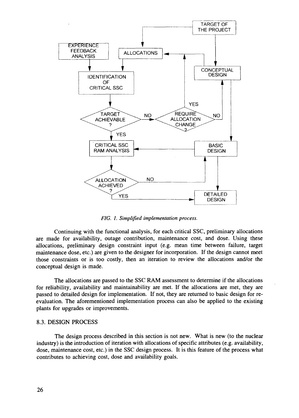

*FIG. I. Simplified implementation process.*

Continuing with the functional analysis, for each critical SSC, preliminary allocations are made for availability, outage contribution, maintenance cost, and dose. Using these allocations, preliminary design constraint input (e.g. mean time between failure, target maintenance dose, etc.) are given to the designer for incorporation. If the design cannot meet those constraints or is too costly, then an iteration to review the allocations and/or the conceptual design is made.

The allocations are passed to the SSC RAM assessment to determine if the allocations for reliability, availability and maintainability are met. If the allocations are met, they are passed to detailed design for implementation. If not, they are returned to basic design for reevaluation. The aforementioned implementation process can also be applied to the existing plants for upgrades or improvements.

#### 8.3. DESIGN PROCESS

The design process described in this section is not new. What is new (to the nuclear industry) is the introduction of iteration with allocations of specific attributes (e.g. availability, dose, maintenance cost, etc.) in the SSC design process. It is this feature of the process what contributes to achieving cost, dose and availability goals.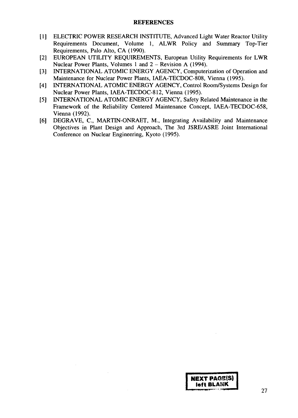#### REFERENCES

- [1] ELECTRIC POWER RESEARCH INSTITUTE, Advanced Light Water Reactor Utility Requirements Document, Volume 1, ALWR Policy and Summary Top-Tier Requirements, Palo Alto, CA (1990).
- [2] EUROPEAN UTILITY REQUIREMENTS, European Utility Requirements for LWR Nuclear Power Plants, Volumes 1 and 2 – Revision A (1994).
- [3] INTERNATIONAL ATOMIC ENERGY AGENCY, Computerization of Operation and Maintenance for Nuclear Power Plants, IAEA-TECDOC-808, Vienna (1995).
- [4] INTERNATIONAL ATOMIC ENERGY AGENCY, Control Room/Systems Design for Nuclear Power Plants, IAEA-TECDOC-812, Vienna (1995).
- [5] INTERNATIONAL ATOMIC ENERGY AGENCY, Safety Related Maintenance in the Framework of the Reliability Centered Maintenance Concept, IAEA-TECDOC-658, Vienna (1992).
- [6] DEGRAVE, C, MARTIN-ONRAET, M., Integrating Availability and Maintenance Objectives in Plant Design and Approach, The 3rd JSRE/ASRE Joint International Conference on Nuclear Engineering, Kyoto (1995).

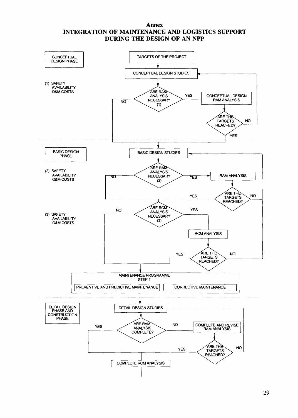#### **Annex INTEGRATION OF MAINTENANCE AND LOGISTICS SUPPORT DURING THE DESIGN OF AN NPP**

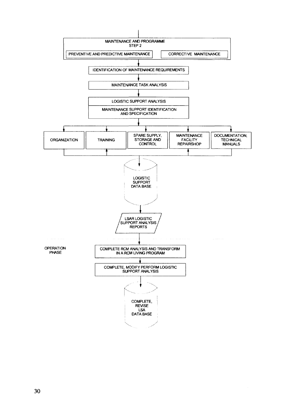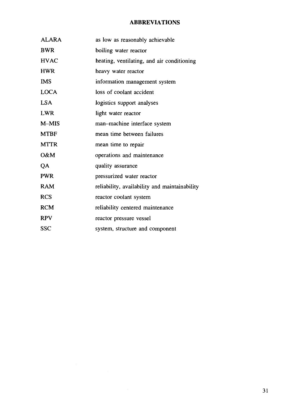## **ABBREVIATIONS**

| <b>ALARA</b> | as low as reasonably achievable               |
|--------------|-----------------------------------------------|
| <b>BWR</b>   | boiling water reactor                         |
| <b>HVAC</b>  | heating, ventilating, and air conditioning    |
| <b>HWR</b>   | heavy water reactor                           |
| <b>IMS</b>   | information management system                 |
| <b>LOCA</b>  | loss of coolant accident                      |
| <b>LSA</b>   | logistics support analyses                    |
| <b>LWR</b>   | light water reactor                           |
| $M-MIS$      | man-machine interface system                  |
| <b>MTBF</b>  | mean time between failures                    |
| <b>MTTR</b>  | mean time to repair                           |
| O&M          | operations and maintenance                    |
| QA           | quality assurance                             |
| <b>PWR</b>   | pressurized water reactor                     |
| <b>RAM</b>   | reliability, availability and maintainability |
| <b>RCS</b>   | reactor coolant system                        |
| <b>RCM</b>   | reliability centered maintenance              |
| <b>RPV</b>   | reactor pressure vessel                       |
| <b>SSC</b>   | system, structure and component               |